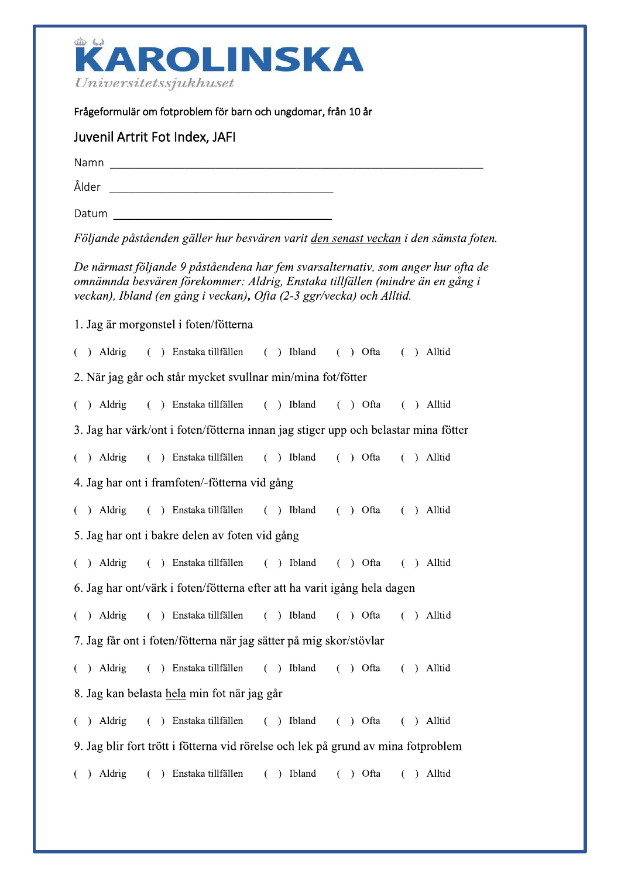

 $Universitetssjukhuset$ <br>Frågeformulär om fotproblem för barn och ungdomar, från 10 år

## - **Juvenil Artrit Fot Index, JAFI**<br>
Namn<br>
Ålder<br>
Datum<br>
Följande påståenden gäller hur besvären varit <u>den senast veckan</u> i den sämsta foten.<br>
De närmast följande 9 påståendena har fem svarsalternativ, som anger hur ofta de<br> De närmast följande 9 påståendena har fem svarsalternativ, som anger hur ofta de Namn<br>
Alder<br>
Datum<br>
Följande påståenden gäller hur besvären varit <u>den senast veckan</u> i den sämsta foten.<br>
De närmast följande 9 påståendena har fem svarsalternativ, som anger hur ofta de<br>
omammda besvären förekommer: Aldr Namn<br>
Alder<br>
Datum<br>
Följande påståenden gäller hur besvären varit <u>den senast veckan</u> i den sämsta foter<br>
De närmast följande 9 påståendena har fem svarsalternativ, som anger hur ofta de<br>
omnämnda besvären förekommer: Aldr Alder<br>
Datum<br>
Följande påståenden gäller hur besvären varit <u>den senast veckan</u> i den sämsta fot<br>
De närmast följande 9 påståendena har fem svarsalternativ, som anger hur ofta domnämnda besvären förekommer: Aldrig, Enstaka iji<br>Li 1. Jag ar morgonstel i foten/fotterna  $( )$  Aldrig () Enstaka tillfällen () Ibland () Ofta () Alltid 2. När jag går och står mycket svullnar min/mina fot/fötter  $( )$  Aldrig () Enstaka tillfällen () Ibland () Ofta () Alltid 3. Jag har värk/ont i foten/fötterna innan jag stiger upp och belastar mina fötter  $( )$  Aldrig  $($  ) Enstaka tillfällen  $($  ) Ibland  $($  ) Ofta  $($  ) Alltid 4. Jag har ont i framfoten/-fötterna vid gång  $( )$  Aldrig () Enstaka tillfällen () Ibland () Ofta () Alltid 5. Jag har ont i bakre delen av foten vid gång  $( )$  Aldrig () Enstaka tillfällen () Ibland () Ofta () Alltid 6. Jag har ont/vark i foten/fotterna efter att ha varit igång hela dagen  $( )$  Aldrig () Enstaka tillfällen () Ibland () Ofta () Alltid 7. Jag får ont i foten/fötterna när jag sätter på mig skor/stövlar  $( )$  Aldrig () Enstaka tillfällen () Ibland () Ofta () Alltid 8. Jag kan belasta <u>hela</u> min fot nar jag går  $\sim$   $\sim$   $\sim$   $\sim$   $\sim$   $\sim$   $\sim$ ( ) Aldrig ( ) Enstaka-tilitallen ( ) Ibland ( ) Ofta ( ) Alltid 9. Jag blir fort trott i fotterna vid rorelse och lek på grund av mina fotproblem  $\sim$   $\sim$   $\sim$   $\sim$   $\sim$   $\sim$   $\sim$   $\sim$ ( ) Aldrig ( ) Enstaka-tilitallen ( ) Ibland ( ) Ofta ( ) Alltid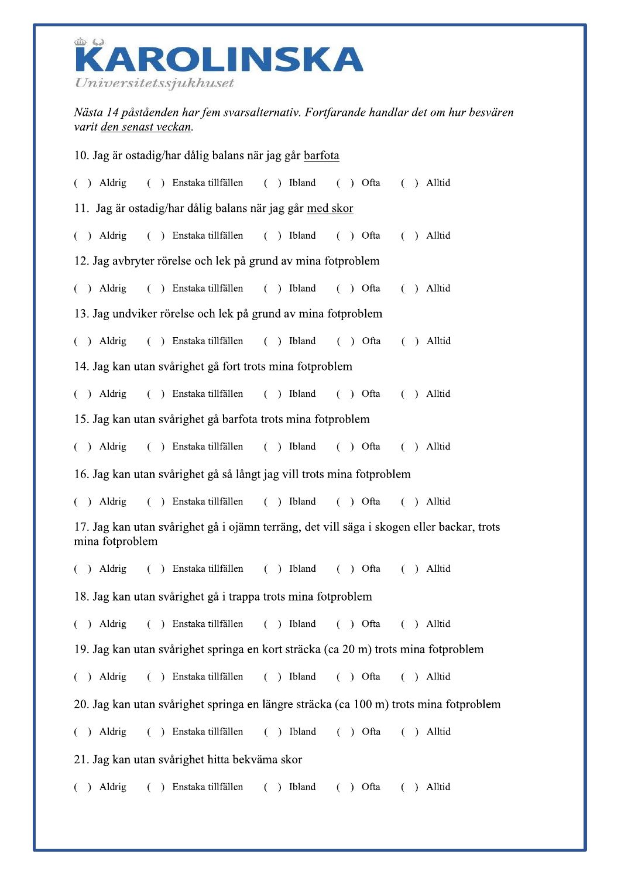

Nästa 14 påståenden har fem svarsalternativ. Fortfarande handlar det om hur besvären varit den senast veckan.

| 10. Jag är ostadig/har dålig balans när jag går barfota                                                      |  |  |                                                                  |  |  |  |  |  |  |  |  |  |
|--------------------------------------------------------------------------------------------------------------|--|--|------------------------------------------------------------------|--|--|--|--|--|--|--|--|--|
|                                                                                                              |  |  | () Aldrig () Enstaka tillfällen () Ibland () Ofta () Alltid      |  |  |  |  |  |  |  |  |  |
| 11. Jag är ostadig/har dålig balans när jag går med skor                                                     |  |  |                                                                  |  |  |  |  |  |  |  |  |  |
|                                                                                                              |  |  | () Aldrig () Enstaka tillfällen () Ibland () Ofta () Alltid      |  |  |  |  |  |  |  |  |  |
| 12. Jag avbryter rörelse och lek på grund av mina fotproblem                                                 |  |  |                                                                  |  |  |  |  |  |  |  |  |  |
|                                                                                                              |  |  | () Aldrig () Enstaka tillfällen () Ibland () Ofta () Alltid      |  |  |  |  |  |  |  |  |  |
| 13. Jag undviker rörelse och lek på grund av mina fotproblem                                                 |  |  |                                                                  |  |  |  |  |  |  |  |  |  |
|                                                                                                              |  |  | () Aldrig () Enstaka tillfällen () Ibland () Ofta () Alltid      |  |  |  |  |  |  |  |  |  |
| 14. Jag kan utan svårighet gå fort trots mina fotproblem                                                     |  |  |                                                                  |  |  |  |  |  |  |  |  |  |
|                                                                                                              |  |  | () Aldrig () Enstaka tillfällen () Ibland () Ofta () Alltid      |  |  |  |  |  |  |  |  |  |
| 15. Jag kan utan svårighet gå barfota trots mina fotproblem                                                  |  |  |                                                                  |  |  |  |  |  |  |  |  |  |
|                                                                                                              |  |  | () Aldrig () Enstaka tillfällen () Ibland () Ofta () Alltid      |  |  |  |  |  |  |  |  |  |
| 16. Jag kan utan svårighet gå så långt jag vill trots mina fotproblem                                        |  |  |                                                                  |  |  |  |  |  |  |  |  |  |
|                                                                                                              |  |  | ( ) Aldrig ( ) Enstaka tillfällen ( ) Ibland ( ) Ofta ( ) Alltid |  |  |  |  |  |  |  |  |  |
| 17. Jag kan utan svårighet gå i ojämn terräng, det vill säga i skogen eller backar, trots<br>mina fotproblem |  |  |                                                                  |  |  |  |  |  |  |  |  |  |
|                                                                                                              |  |  | ( ) Aldrig ( ) Enstaka tillfällen ( ) Ibland ( ) Ofta ( ) Alltid |  |  |  |  |  |  |  |  |  |
| 18. Jag kan utan svårighet gå i trappa trots mina fotproblem                                                 |  |  |                                                                  |  |  |  |  |  |  |  |  |  |
|                                                                                                              |  |  | ( ) Aldrig ( ) Enstaka tillfällen ( ) Ibland ( ) Ofta ( ) Alltid |  |  |  |  |  |  |  |  |  |
| 19. Jag kan utan svårighet springa en kort sträcka (ca 20 m) trots mina fotproblem                           |  |  |                                                                  |  |  |  |  |  |  |  |  |  |
|                                                                                                              |  |  | ( ) Aldrig ( ) Enstaka tillfällen ( ) Ibland ( ) Ofta ( ) Alltid |  |  |  |  |  |  |  |  |  |
| 20. Jag kan utan svårighet springa en längre sträcka (ca 100 m) trots mina fotproblem                        |  |  |                                                                  |  |  |  |  |  |  |  |  |  |
|                                                                                                              |  |  | ( ) Aldrig ( ) Enstaka tillfällen ( ) Ibland ( ) Ofta ( ) Alltid |  |  |  |  |  |  |  |  |  |
| 21. Jag kan utan svårighet hitta bekväma skor                                                                |  |  |                                                                  |  |  |  |  |  |  |  |  |  |
|                                                                                                              |  |  | ( ) Aldrig ( ) Enstaka tillfällen ( ) Ibland ( ) Ofta ( ) Alltid |  |  |  |  |  |  |  |  |  |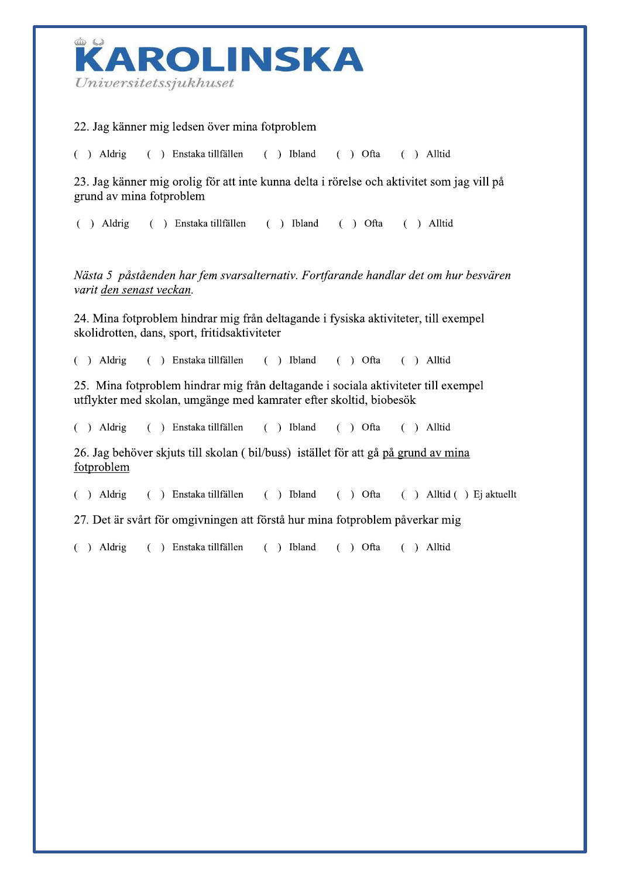

## 22. Jag känner mig ledsen över mina fotproblem

() Enstaka tillfällen  $( )$  Ibland  $( )$  Aldrig  $( )$  Ofta  $( )$  Alltid

23. Jag känner mig orolig för att inte kunna delta i rörelse och aktivitet som jag vill på grund av mina fotproblem

 $( )$  Aldrig  $( )$  Enstaka tillfällen  $( )$  Ibland  $( )$  Ofta  $( )$  Alltid

Nästa 5 påståenden har fem svarsalternativ. Fortfarande handlar det om hur besvären varit den senast veckan.

24. Mina fotproblem hindrar mig från deltagande i fysiska aktiviteter, till exempel skolidrotten, dans, sport, fritidsaktiviteter

 $( )$  Aldrig  $( )$  Enstaka tillfällen  $( )$  Ibland  $( )$  Ofta  $( )$  Alltid

25. Mina fotproblem hindrar mig från deltagande i sociala aktiviteter till exempel utflykter med skolan, umgänge med kamrater efter skoltid, biobesök

 $( )$  Aldrig ( ) Enstaka tillfällen  $( )$  Ibland  $( )$  Ofta  $( )$  Alltid

26. Jag behöver skjuts till skolan (bil/buss) istället för att gå på grund av mina fotproblem

 $( )$  Aldrig () Enstaka tillfällen  $( )$  Ibland  $( )$  Ofta  $( )$  Alltid  $( )$  Ej aktuellt

27. Det är svårt för omgivningen att förstå hur mina fotproblem påverkar mig

 $( )$  Aldrig () Enstaka tillfällen  $( )$  Ibland  $( )$  Ofta  $( )$  Alltid